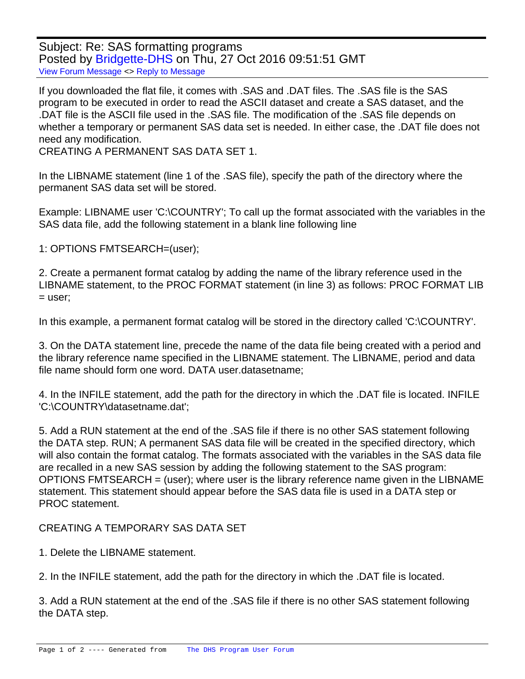Subject: Re: SAS formatting programs Posted by [Bridgette-DHS](https://userforum.dhsprogram.com/index.php?t=usrinfo&id=11) on Thu, 27 Oct 2016 09:51:51 GMT [View Forum Message](https://userforum.dhsprogram.com/index.php?t=rview&th=5609&goto=11103#msg_11103) <> [Reply to Message](https://userforum.dhsprogram.com/index.php?t=post&reply_to=11103)

If you downloaded the flat file, it comes with .SAS and .DAT files. The .SAS file is the SAS program to be executed in order to read the ASCII dataset and create a SAS dataset, and the .DAT file is the ASCII file used in the .SAS file. The modification of the .SAS file depends on whether a temporary or permanent SAS data set is needed. In either case, the .DAT file does not need any modification.

CREATING A PERMANENT SAS DATA SET 1.

In the LIBNAME statement (line 1 of the .SAS file), specify the path of the directory where the permanent SAS data set will be stored.

Example: LIBNAME user 'C:\COUNTRY'; To call up the format associated with the variables in the SAS data file, add the following statement in a blank line following line

1: OPTIONS FMTSEARCH=(user);

2. Create a permanent format catalog by adding the name of the library reference used in the LIBNAME statement, to the PROC FORMAT statement (in line 3) as follows: PROC FORMAT LIB  $=$  user;

In this example, a permanent format catalog will be stored in the directory called 'C:\COUNTRY'.

3. On the DATA statement line, precede the name of the data file being created with a period and the library reference name specified in the LIBNAME statement. The LIBNAME, period and data file name should form one word. DATA user.datasetname;

4. In the INFILE statement, add the path for the directory in which the .DAT file is located. INFILE 'C:\COUNTRY\datasetname.dat';

5. Add a RUN statement at the end of the .SAS file if there is no other SAS statement following the DATA step. RUN; A permanent SAS data file will be created in the specified directory, which will also contain the format catalog. The formats associated with the variables in the SAS data file are recalled in a new SAS session by adding the following statement to the SAS program: OPTIONS FMTSEARCH = (user); where user is the library reference name given in the LIBNAME statement. This statement should appear before the SAS data file is used in a DATA step or PROC statement.

CREATING A TEMPORARY SAS DATA SET

1. Delete the LIBNAME statement.

2. In the INFILE statement, add the path for the directory in which the .DAT file is located.

3. Add a RUN statement at the end of the .SAS file if there is no other SAS statement following the DATA step.